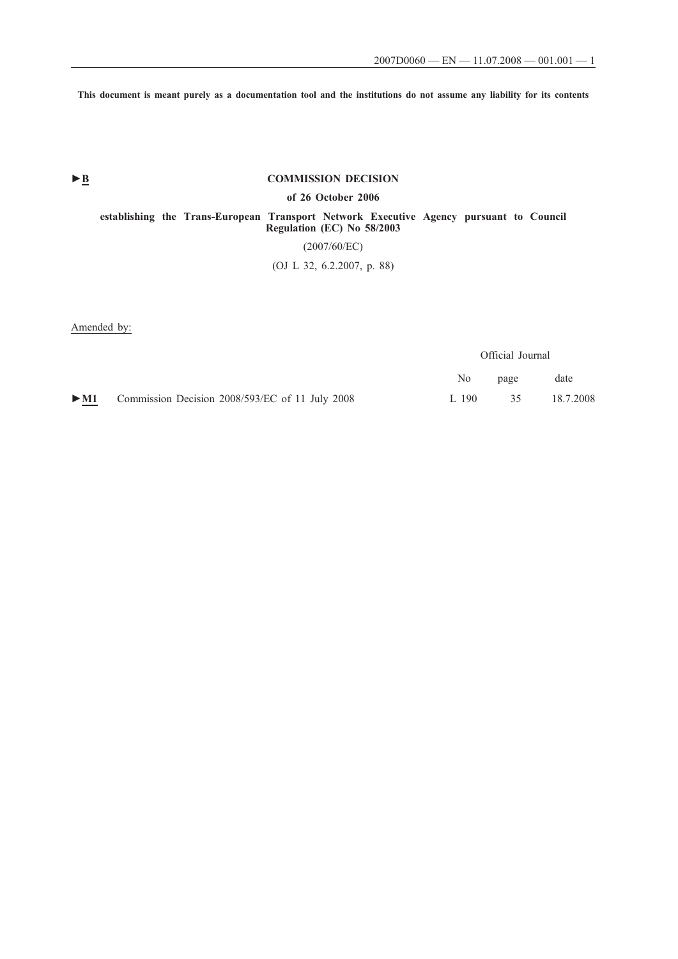**This document is meant purely as a documentation tool and the institutions do not assume any liability for its contents**

# ► <u>B</u> COMMISSION DECISION

# **of 26 October 2006**

**establishing the Trans-European Transport Network Executive Agency pursuant to Council Regulation (EC) No 58/2003** (2007/60/EC)

(OJ L 32, 6.2.2007, p. 88)

Amended by:

Official Journal

|                                                                     |       | No page | date         |
|---------------------------------------------------------------------|-------|---------|--------------|
| $\triangleright$ M1 Commission Decision 2008/593/EC of 11 July 2008 | 1.190 |         | 35 18.7.2008 |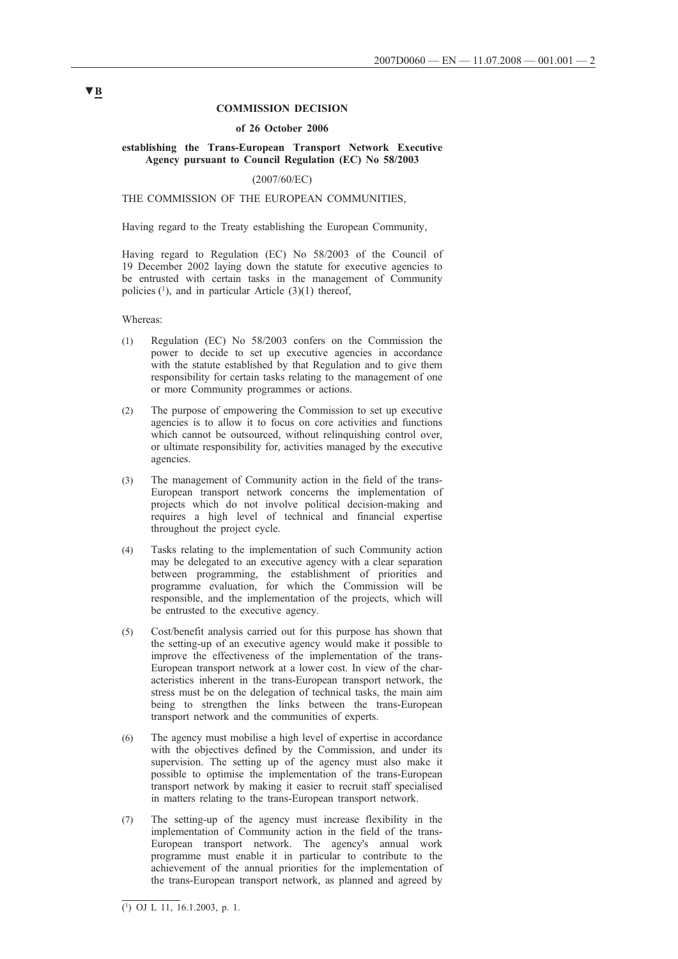### **COMMISSION DECISION**

#### **of 26 October 2006**

### **establishing the Trans-European Transport Network Executive Agency pursuant to Council Regulation (EC) No 58/2003**

## (2007/60/EC)

# THE COMMISSION OF THE EUROPEAN COMMUNITIES,

Having regard to the Treaty establishing the European Community,

Having regard to Regulation (EC) No 58/2003 of the Council of 19 December 2002 laying down the statute for executive agencies to be entrusted with certain tasks in the management of Community policies  $(1)$ , and in particular Article  $(3)(1)$  thereof,

Whereas:

- (1) Regulation (EC) No 58/2003 confers on the Commission the power to decide to set up executive agencies in accordance with the statute established by that Regulation and to give them responsibility for certain tasks relating to the management of one or more Community programmes or actions.
- (2) The purpose of empowering the Commission to set up executive agencies is to allow it to focus on core activities and functions which cannot be outsourced, without relinquishing control over, or ultimate responsibility for, activities managed by the executive agencies.
- (3) The management of Community action in the field of the trans-European transport network concerns the implementation of projects which do not involve political decision-making and requires a high level of technical and financial expertise throughout the project cycle.
- (4) Tasks relating to the implementation of such Community action may be delegated to an executive agency with a clear separation between programming, the establishment of priorities and programme evaluation, for which the Commission will be responsible, and the implementation of the projects, which will be entrusted to the executive agency.
- (5) Cost/benefit analysis carried out for this purpose has shown that the setting-up of an executive agency would make it possible to improve the effectiveness of the implementation of the trans-European transport network at a lower cost. In view of the characteristics inherent in the trans-European transport network, the stress must be on the delegation of technical tasks, the main aim being to strengthen the links between the trans-European transport network and the communities of experts.
- (6) The agency must mobilise a high level of expertise in accordance with the objectives defined by the Commission, and under its supervision. The setting up of the agency must also make it possible to optimise the implementation of the trans-European transport network by making it easier to recruit staff specialised in matters relating to the trans-European transport network.
- (7) The setting-up of the agency must increase flexibility in the implementation of Community action in the field of the trans-European transport network. The agency's annual work programme must enable it in particular to contribute to the achievement of the annual priorities for the implementation of the trans-European transport network, as planned and agreed by

# **▼B**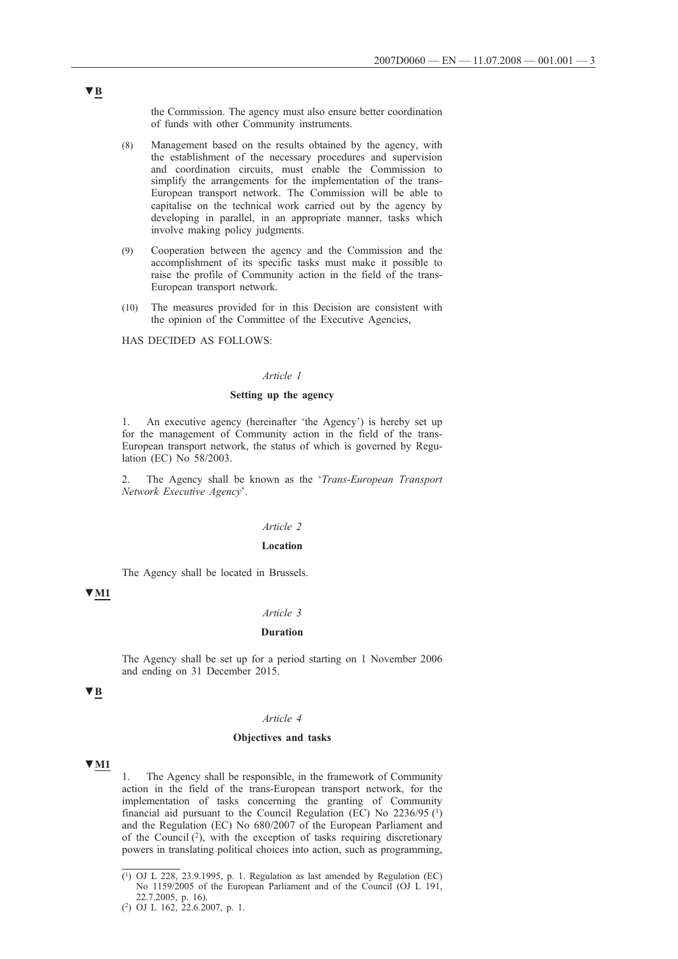the Commission. The agency must also ensure better coordination of funds with other Community instruments.

- (8) Management based on the results obtained by the agency, with the establishment of the necessary procedures and supervision and coordination circuits, must enable the Commission to simplify the arrangements for the implementation of the trans-European transport network. The Commission will be able to capitalise on the technical work carried out by the agency by developing in parallel, in an appropriate manner, tasks which involve making policy judgments.
- (9) Cooperation between the agency and the Commission and the accomplishment of its specific tasks must make it possible to raise the profile of Community action in the field of the trans-European transport network.
- (10) The measures provided for in this Decision are consistent with the opinion of the Committee of the Executive Agencies,

HAS DECIDED AS FOLLOWS:

### Article 1

### **Setting up the agency**

1. An executive agency (hereinafter 'the Agency') is hereby set up for the management of Community action in the field of the trans-European transport network, the status of which is governed by Regulation (EC) No 58/2003.

2. The Agency shall be known as the '*Trans-European Transport Network Executive Agency*'.

#### Article 2

#### **Location**

The Agency shall be located in Brussels.

# **▼M1**

# **Duration**

The Agency shall be set up for a period starting on 1 November 2006 and ending on 31 December 2015.

# **▼B**

#### **Objectives and tasks**

# **▼M1**

1. The Agency shall be responsible, in the framework of Community action in the field of the trans-European transport network, for the implementation of tasks concerning the granting of Community financial aid pursuant to the Council Regulation (EC) No  $2236/95$  (<sup>1</sup>) and the Regulation (EC) No 680/2007 of the European Parliament and of the Council  $(2)$ , with the exception of tasks requiring discretionary powers in translating political choices into action, such as programming,

# **▼B**

 $(1)$  OJ L 228, 23.9.1995, p. 1. Regulation as last amended by Regulation (EC) No 1159/2005 of the European Parliament and of the Council (OJ L 191, 22.7.2005, p. 16).

<sup>(2)</sup> OJ L 162, 22.6.2007, p. 1.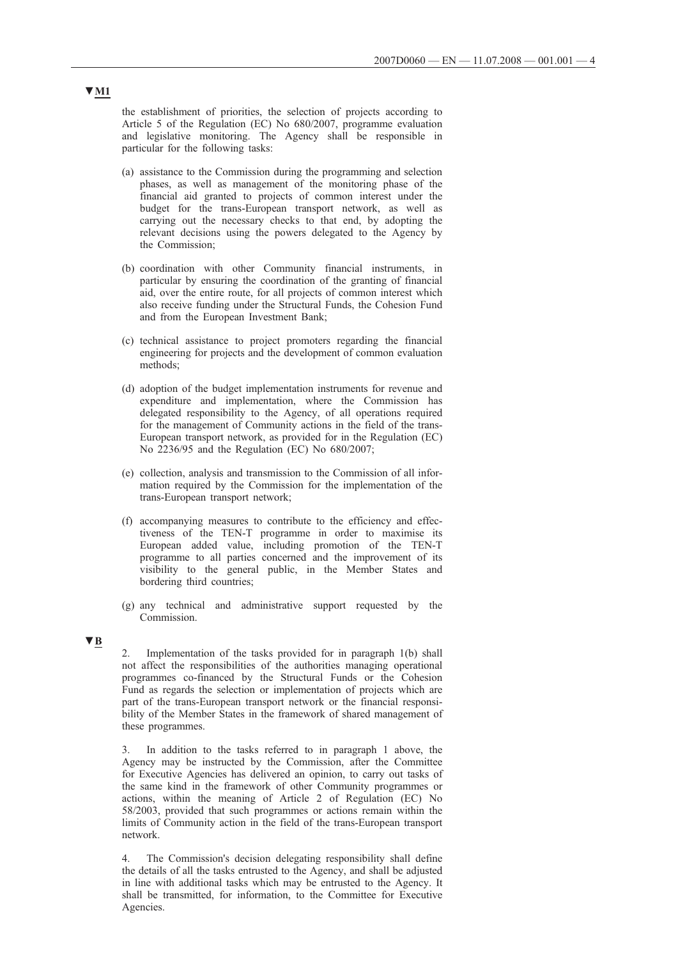the establishment of priorities, the selection of projects according to Article 5 of the Regulation (EC) No 680/2007, programme evaluation and legislative monitoring. The Agency shall be responsible in particular for the following tasks:

- (a) assistance to the Commission during the programming and selection phases, as well as management of the monitoring phase of the financial aid granted to projects of common interest under the budget for the trans-European transport network, as well as carrying out the necessary checks to that end, by adopting the relevant decisions using the powers delegated to the Agency by the Commission;
- (b) coordination with other Community financial instruments, in particular by ensuring the coordination of the granting of financial aid, over the entire route, for all projects of common interest which also receive funding under the Structural Funds, the Cohesion Fund and from the European Investment Bank;
- (c) technical assistance to project promoters regarding the financial engineering for projects and the development of common evaluation methods;
- (d) adoption of the budget implementation instruments for revenue and expenditure and implementation, where the Commission has delegated responsibility to the Agency, of all operations required for the management of Community actions in the field of the trans-European transport network, as provided for in the Regulation (EC) No 2236/95 and the Regulation (EC) No 680/2007;
- (e) collection, analysis and transmission to the Commission of all information required by the Commission for the implementation of the trans-European transport network;
- (f) accompanying measures to contribute to the efficiency and effectiveness of the TEN-T programme in order to maximise its European added value, including promotion of the TEN-T programme to all parties concerned and the improvement of its visibility to the general public, in the Member States and bordering third countries;
- (g) any technical and administrative support requested by the Commission.

# **▼B**

2. Implementation of the tasks provided for in paragraph 1(b) shall not affect the responsibilities of the authorities managing operational programmes co-financed by the Structural Funds or the Cohesion Fund as regards the selection or implementation of projects which are part of the trans-European transport network or the financial responsibility of the Member States in the framework of shared management of these programmes.

3. In addition to the tasks referred to in paragraph 1 above, the Agency may be instructed by the Commission, after the Committee for Executive Agencies has delivered an opinion, to carry out tasks of the same kind in the framework of other Community programmes or actions, within the meaning of Article 2 of Regulation (EC) No 58/2003, provided that such programmes or actions remain within the limits of Community action in the field of the trans-European transport network.

4. The Commission's decision delegating responsibility shall define the details of all the tasks entrusted to the Agency, and shall be adjusted in line with additional tasks which may be entrusted to the Agency. It shall be transmitted, for information, to the Committee for Executive Agencies.

# **▼M1**